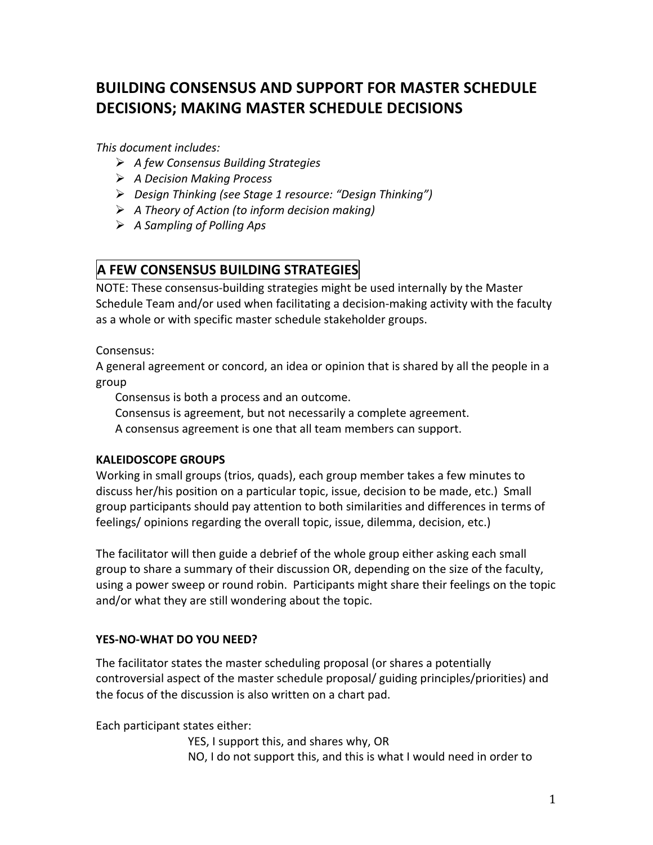## **BUILDING CONSENSUS AND SUPPORT FOR MASTER SCHEDULE DECISIONS; MAKING MASTER SCHEDULE DECISIONS**

*This document includes:* 

- *A%few%Consensus%Building%Strategies*
- *A%Decision%Making%Process%*
- *Design%Thinking%(see%Stage%1%resource:%"Design%Thinking")%*
- $\triangleright$  A Theory of Action (to inform decision making)
- *A%Sampling%of%Polling%Aps*

## **A FEW CONSENSUS BUILDING STRATEGIES(((**

NOTE: These consensus-building strategies might be used internally by the Master Schedule Team and/or used when facilitating a decision-making activity with the faculty as a whole or with specific master schedule stakeholder groups.

Consensus:

A general agreement or concord, an idea or opinion that is shared by all the people in a group!!

Consensus is both a process and an outcome.

Consensus is agreement, but not necessarily a complete agreement.

A consensus agreement is one that all team members can support.

#### **KALEIDOSCOPE GROUPS**

Working in small groups (trios, quads), each group member takes a few minutes to discuss her/his position on a particular topic, issue, decision to be made, etc.) Small group participants should pay attention to both similarities and differences in terms of feelings/ opinions regarding the overall topic, issue, dilemma, decision, etc.)

The facilitator will then guide a debrief of the whole group either asking each small group to share a summary of their discussion OR, depending on the size of the faculty, using a power sweep or round robin. Participants might share their feelings on the topic and/or what they are still wondering about the topic.

#### **YES-NO-WHAT DO YOU NEED?**

The facilitator states the master scheduling proposal (or shares a potentially controversial aspect of the master schedule proposal/ guiding principles/priorities) and the focus of the discussion is also written on a chart pad.

Each participant states either:

YES, I support this, and shares why, OR NO, I do not support this, and this is what I would need in order to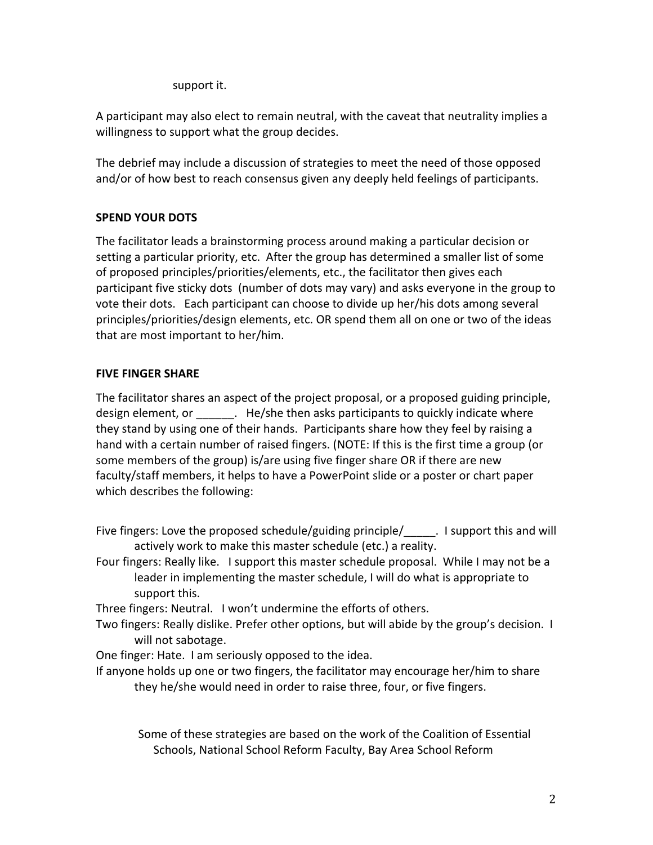support it.

A participant may also elect to remain neutral, with the caveat that neutrality implies a willingness to support what the group decides.

The debrief may include a discussion of strategies to meet the need of those opposed and/or of how best to reach consensus given any deeply held feelings of participants.

#### **SPEND YOUR DOTS**

The facilitator leads a brainstorming process around making a particular decision or setting a particular priority, etc. After the group has determined a smaller list of some of proposed principles/priorities/elements, etc., the facilitator then gives each participant five sticky dots (number of dots may vary) and asks everyone in the group to vote their dots. Each participant can choose to divide up her/his dots among several principles/priorities/design elements, etc. OR spend them all on one or two of the ideas that are most important to her/him.

#### **FIVE FINGER SHARE**

The facilitator shares an aspect of the project proposal, or a proposed guiding principle, design element, or \_\_\_\_\_\_\_. He/she then asks participants to quickly indicate where they stand by using one of their hands. Participants share how they feel by raising a hand with a certain number of raised fingers. (NOTE: If this is the first time a group (or some members of the group) is/are using five finger share OR if there are new faculty/staff members, it helps to have a PowerPoint slide or a poster or chart paper which describes the following:

- Five fingers: Love the proposed schedule/guiding principle/ The support this and will actively work to make this master schedule (etc.) a reality.
- Four fingers: Really like. I support this master schedule proposal. While I may not be a leader in implementing the master schedule, I will do what is appropriate to support this.

Three fingers: Neutral. I won't undermine the efforts of others.

- Two fingers: Really dislike. Prefer other options, but will abide by the group's decision. I will not sabotage.
- One finger: Hate. I am seriously opposed to the idea.
- If anyone holds up one or two fingers, the facilitator may encourage her/him to share they he/she would need in order to raise three, four, or five fingers.

Some of these strategies are based on the work of the Coalition of Essential Schools, National School Reform Faculty, Bay Area School Reform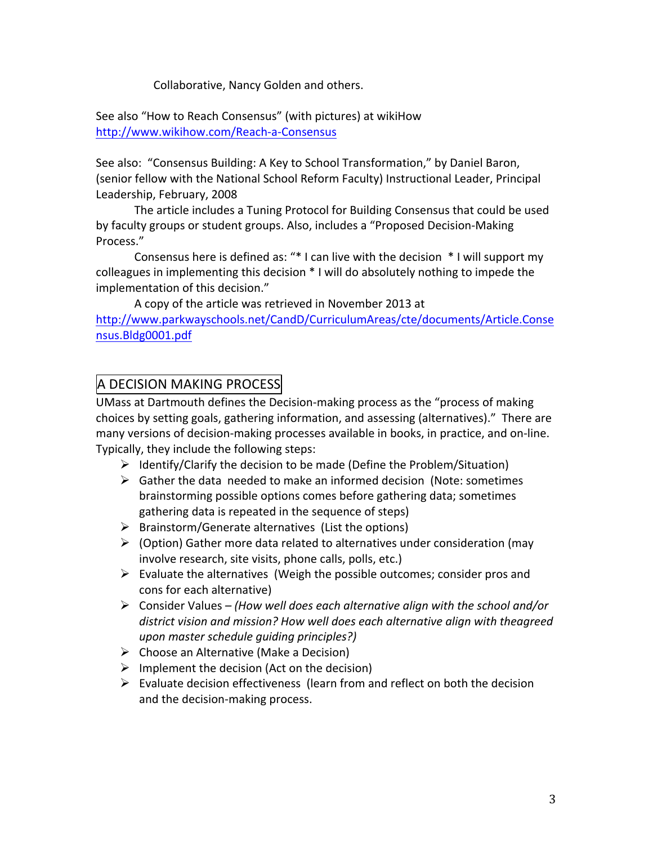Collaborative, Nancy Golden and others.

See also "How to Reach Consensus" (with pictures) at wikiHow http://www.wikihow.com/Reach-a-Consensus

See also: "Consensus Building: A Key to School Transformation," by Daniel Baron, (senior fellow with the National School Reform Faculty) Instructional Leader, Principal Leadership, February, 2008

The article includes a Tuning Protocol for Building Consensus that could be used by faculty groups or student groups. Also, includes a "Proposed Decision-Making Process."

Consensus here is defined as: " $*$  I can live with the decision  $*$  I will support my colleagues in implementing this decision  $*$  I will do absolutely nothing to impede the implementation of this decision."

A copy of the article was retrieved in November 2013 at http://www.parkwayschools.net/CandD/CurriculumAreas/cte/documents/Article.Conse nsus.Bldg0001.pdf

## A DECISION MAKING PROCESS

UMass at Dartmouth defines the Decision-making process as the "process of making choices by setting goals, gathering information, and assessing (alternatives)." There are many versions of decision-making processes available in books, in practice, and on-line. Typically, they include the following steps:

- $\triangleright$  Identify/Clarify the decision to be made (Define the Problem/Situation)
- $\triangleright$  Gather the data needed to make an informed decision (Note: sometimes brainstorming possible options comes before gathering data; sometimes gathering data is repeated in the sequence of steps)
- $\triangleright$  Brainstorm/Generate alternatives (List the options)
- $\triangleright$  (Option) Gather more data related to alternatives under consideration (may involve research, site visits, phone calls, polls, etc.)
- $\triangleright$  Evaluate the alternatives (Weigh the possible outcomes; consider pros and cons for each alternative)
- Consider!Values *– (How%well%does%each%alternative%align%with%the%school%and/or%* district vision and mission? How well does each alternative align with theagreed *upon%master%schedule%guiding%principles?)%*
- $\triangleright$  Choose an Alternative (Make a Decision)
- $\triangleright$  Implement the decision (Act on the decision)
- $\triangleright$  Evaluate decision effectiveness (learn from and reflect on both the decision and the decision-making process.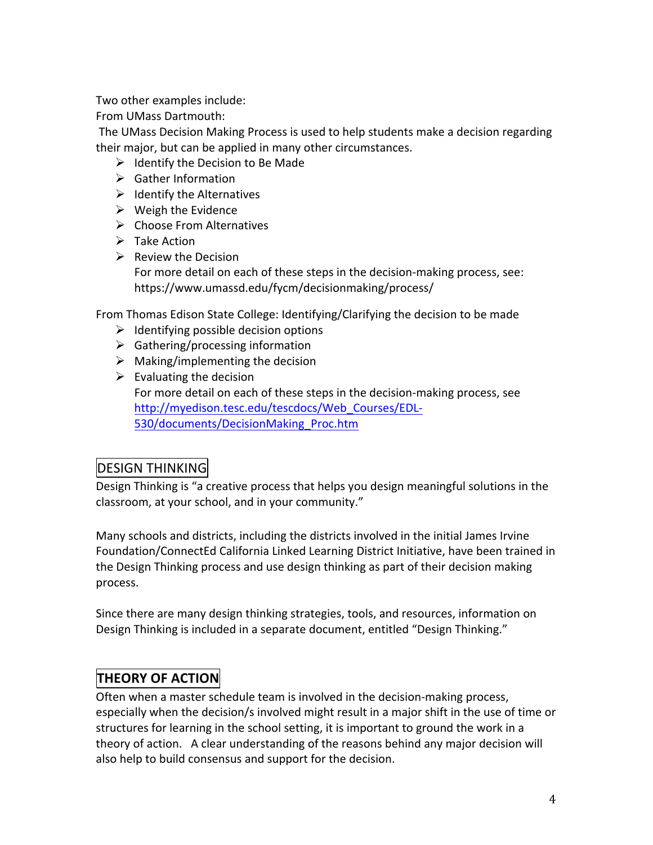Two other examples include:

From!UMass!Dartmouth:!

The UMass Decision Making Process is used to help students make a decision regarding their major, but can be applied in many other circumstances.

- $\triangleright$  Identify the Decision to Be Made
- $\triangleright$  Gather Information
- $\triangleright$  Identify the Alternatives
- $\triangleright$  Weigh the Evidence
- $\triangleright$  Choose From Alternatives
- $\triangleright$  Take Action
- $\triangleright$  Review the Decision

For more detail on each of these steps in the decision-making process, see: https://www.umassd.edu/fycm/decisionmaking/process/

From Thomas Edison State College: Identifying/Clarifying the decision to be made

- $\triangleright$  Identifying possible decision options
- $\triangleright$  Gathering/processing information
- $\triangleright$  Making/implementing the decision
- $\triangleright$  Evaluating the decision For more detail on each of these steps in the decision-making process, see http://myedison.tesc.edu/tescdocs/Web\_Courses/EDL. 530/documents/DecisionMaking\_Proc.htm

## DESIGN THINKING

Design Thinking is "a creative process that helps you design meaningful solutions in the classroom, at your school, and in your community."

Many schools and districts, including the districts involved in the initial James Irvine Foundation/ConnectEd California Linked Learning District Initiative, have been trained in the Design Thinking process and use design thinking as part of their decision making process.

Since there are many design thinking strategies, tools, and resources, information on Design Thinking is included in a separate document, entitled "Design Thinking."

## **THEORY OF ACTION**

Often when a master schedule team is involved in the decision-making process, especially when the decision/s involved might result in a major shift in the use of time or structures for learning in the school setting, it is important to ground the work in a theory of action. A clear understanding of the reasons behind any major decision will also help to build consensus and support for the decision.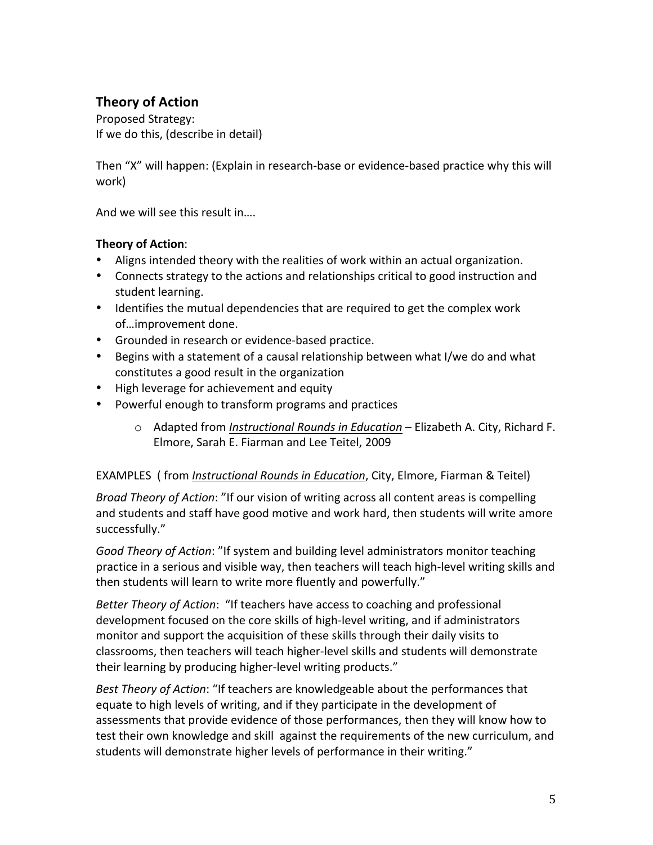## **Theory of Action**

Proposed Strategy: If we do this, (describe in detail)

Then "X" will happen: (Explain in research-base or evidence-based practice why this will work)

And we will see this result in....

#### **Theory of Action:**

- Aligns intended theory with the realities of work within an actual organization.
- Connects strategy to the actions and relationships critical to good instruction and student learning.
- Identifies the mutual dependencies that are required to get the complex work of...improvement done.
- Grounded in research or evidence-based practice.
- Begins with a statement of a causal relationship between what I/we do and what constitutes a good result in the organization
- High leverage for achievement and equity
- Powerful enough to transform programs and practices
	- o Adapted from *Instructional Rounds in Education* Elizabeth A. City, Richard F. Elmore, Sarah E. Fiarman and Lee Teitel, 2009

#### EXAMPLES ( from *Instructional Rounds in Education*, City, Elmore, Fiarman & Teitel)

*Broad Theory of Action*: "If our vision of writing across all content areas is compelling and students and staff have good motive and work hard, then students will write amore successfully."

Good Theory of Action: "If system and building level administrators monitor teaching practice in a serious and visible way, then teachers will teach high-level writing skills and then students will learn to write more fluently and powerfully."

*Better Theory of Action*: "If teachers have access to coaching and professional development focused on the core skills of high-level writing, and if administrators monitor and support the acquisition of these skills through their daily visits to classrooms, then teachers will teach higher-level skills and students will demonstrate their learning by producing higher-level writing products."

*Best Theory of Action*: "If teachers are knowledgeable about the performances that equate to high levels of writing, and if they participate in the development of assessments that provide evidence of those performances, then they will know how to test their own knowledge and skill against the requirements of the new curriculum, and students will demonstrate higher levels of performance in their writing."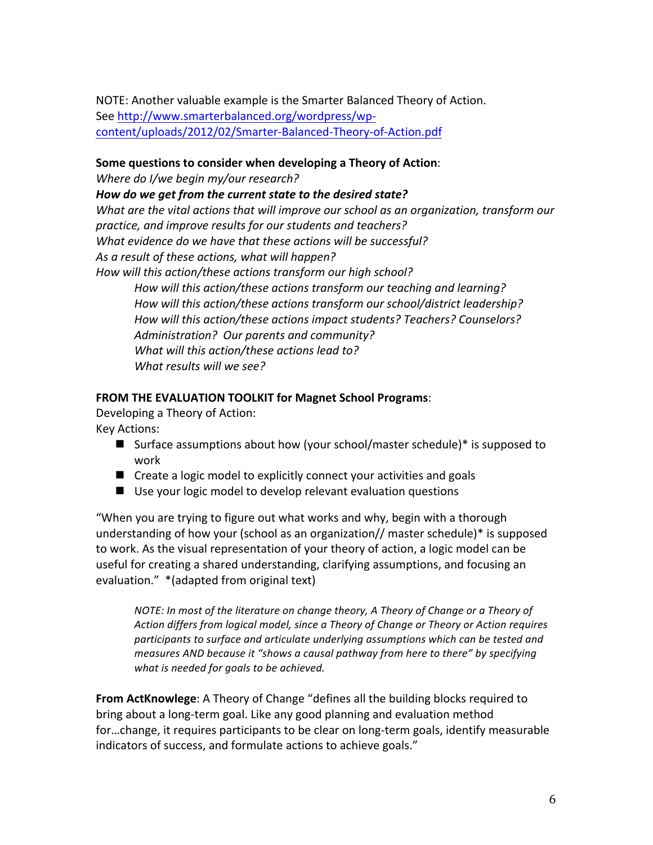NOTE: Another valuable example is the Smarter Balanced Theory of Action. See http://www.smarterbalanced.org/wordpress/wpcontent/uploads/2012/02/Smarter.Balanced.Theory.of.Action.pdf

#### Some questions to consider when developing a Theory of Action:

*Where do I/we begin my/our research?* 

How do we get from the current state to the desired state?

What are the vital actions that will improve our school as an organization, transform our *practice, and%improve%results%for%our students%and%teachers?* What evidence do we have that these actions will be successful? As a result of these actions, what will happen? How will this action/these actions transform our high school?

How will this action/these actions transform our teaching and learning? How will this action/these actions transform our school/district leadership? How will this action/these actions impact students? Teachers? Counselors? Administration? Our parents and community? *What will this action/these actions lead to? What results will we see?* 

#### **FROM THE EVALUATION TOOLKIT for Magnet School Programs:**

Developing a Theory of Action: Key Actions:

- **Surface assumptions about how (your school/master schedule)\* is supposed to**  $\blacksquare$ work
- $\blacksquare$  Create a logic model to explicitly connect your activities and goals
- $\blacksquare$  Use your logic model to develop relevant evaluation questions

"When you are trying to figure out what works and why, begin with a thorough understanding of how your (school as an organization// master schedule)\* is supposed to work. As the visual representation of your theory of action, a logic model can be useful for creating a shared understanding, clarifying assumptions, and focusing an evaluation." \* (adapted from original text)

*NOTE: In most of the literature on change theory, A Theory of Change or a Theory of Action%differs%from%logical%model,%since%a%Theory%of%Change%or%Theory%or%Action%requires% participants to surface and articulate underlying assumptions which can be tested and measures AND because it "shows a causal pathway from here to there" by specifying* what is needed for goals to be achieved.

From ActKnowlege: A Theory of Change "defines all the building blocks required to bring about a long-term goal. Like any good planning and evaluation method for...change, it requires participants to be clear on long-term goals, identify measurable indicators of success, and formulate actions to achieve goals."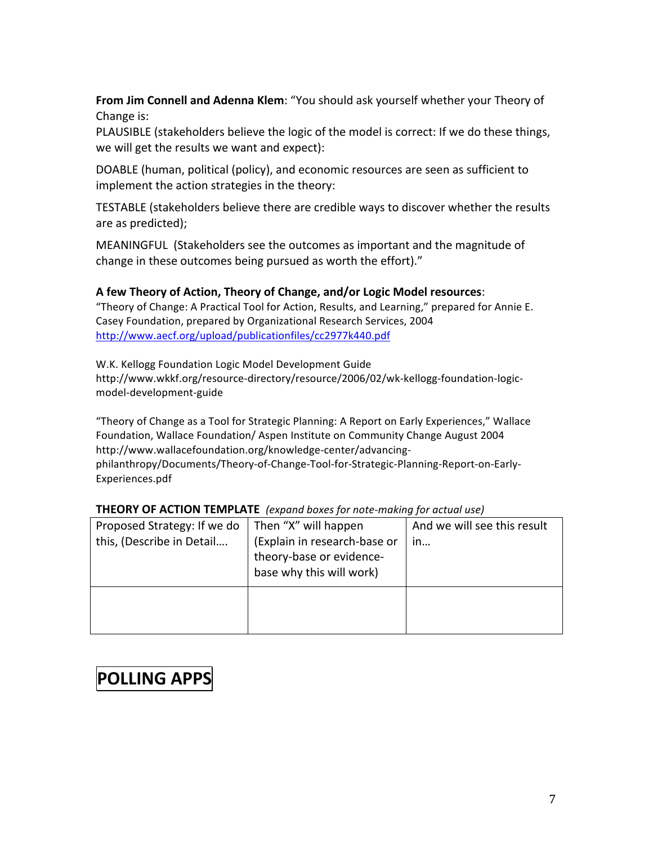**From Jim Connell and Adenna Klem:** "You should ask yourself whether your Theory of Change is:

PLAUSIBLE (stakeholders believe the logic of the model is correct: If we do these things, we will get the results we want and expect):

DOABLE (human, political (policy), and economic resources are seen as sufficient to implement the action strategies in the theory:

TESTABLE (stakeholders believe there are credible ways to discover whether the results are as predicted);

MEANINGFUL (Stakeholders see the outcomes as important and the magnitude of change in these outcomes being pursued as worth the effort)."

#### A few Theory of Action, Theory of Change, and/or Logic Model resources:

"Theory of Change: A Practical Tool for Action, Results, and Learning," prepared for Annie E. Casey Foundation, prepared by Organizational Research Services, 2004 http://www.aecf.org/upload/publicationfiles/cc2977k440.pdf

W.K. Kellogg Foundation Logic Model Development Guide http://www.wkkf.org/resource.directory/resource/2006/02/wk.kellogg.foundation.logic. model.development.guide

"Theory of Change as a Tool for Strategic Planning: A Report on Early Experiences," Wallace Foundation, Wallace Foundation/ Aspen Institute on Community Change August 2004 http://www.wallacefoundation.org/knowledge.center/advancing. philanthropy/Documents/Theory-of-Change-Tool-for-Strategic-Planning-Report-on-Early-Experiences.pdf

| Proposed Strategy: If we do<br>this, (Describe in Detail | Then "X" will happen<br>(Explain in research-base or<br>theory-base or evidence-<br>base why this will work) | And we will see this result<br>in |
|----------------------------------------------------------|--------------------------------------------------------------------------------------------------------------|-----------------------------------|
|                                                          |                                                                                                              |                                   |

#### **THEORY OF ACTION TEMPLATE** (expand boxes for note-making for actual use)

# **POLLING APPS**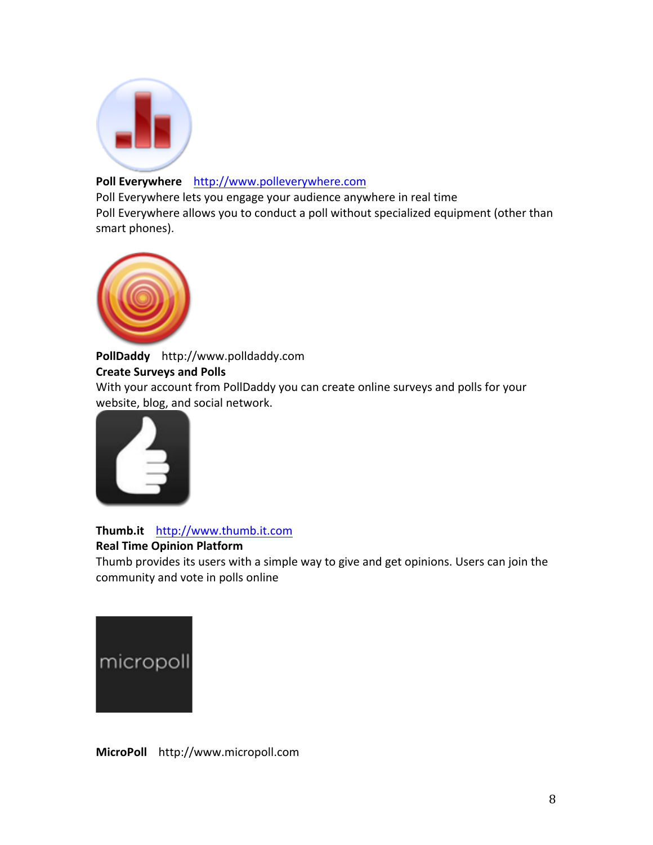

#### Poll Everywhere http://www.polleverywhere.com

Poll Everywhere lets you engage your audience anywhere in real time Poll Everywhere allows you to conduct a poll without specialized equipment (other than smart phones).



PollDaddy http://www.polldaddy.com **Create Surveys and Polls** With your account from PollDaddy you can create online surveys and polls for your

website, blog, and social network.



**Thumb.it** !!!http://www.thumb.it.com

#### **Real Time Opinion Platform**

Thumb provides its users with a simple way to give and get opinions. Users can join the community and vote in polls online



**MicroPoll** http://www.micropoll.com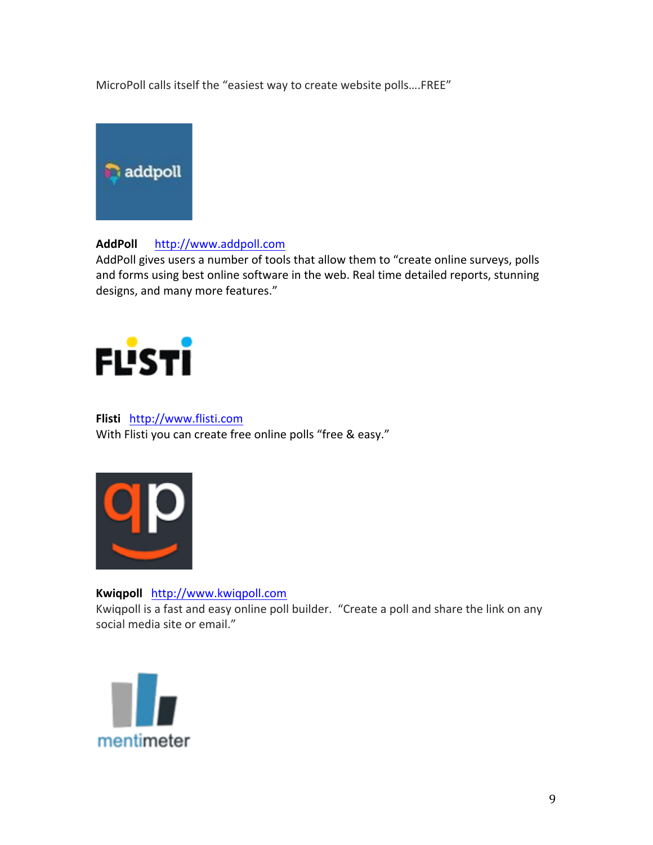MicroPoll calls itself the "easiest way to create website polls....FREE"



#### AddPoll http://www.addpoll.com

AddPoll gives users a number of tools that allow them to "create online surveys, polls and forms using best online software in the web. Real time detailed reports, stunning designs, and many more features."



#### **Flisti** http://www.flisti.com With Flisti you can create free online polls "free & easy."



Kwiqpoll http://www.kwiqpoll.com Kwiqpoll is a fast and easy online poll builder. "Create a poll and share the link on any social media site or email."

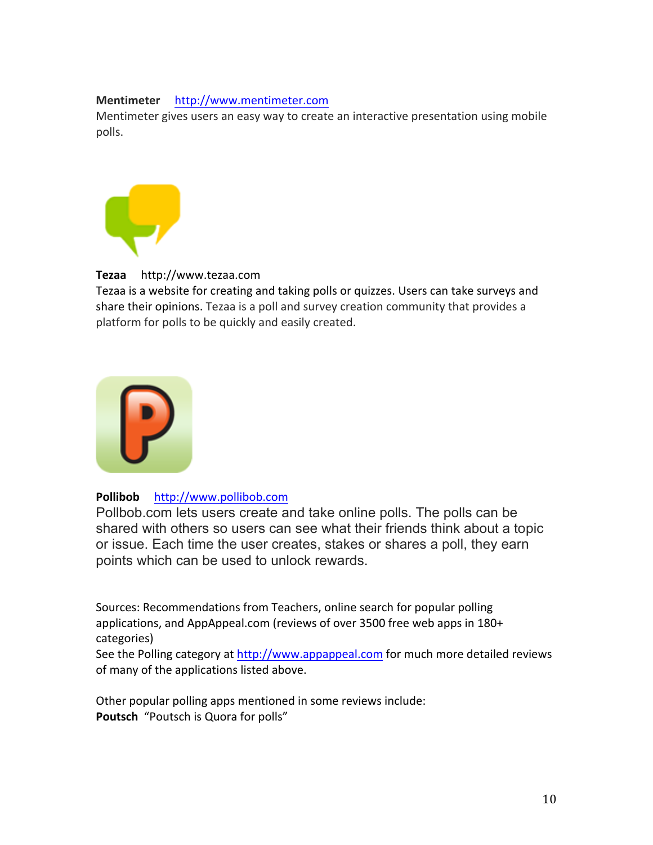#### Mentimeter http://www.mentimeter.com

Mentimeter gives users an easy way to create an interactive presentation using mobile polls.



#### Tezaa http://www.tezaa.com

Tezaa is a website for creating and taking polls or quizzes. Users can take surveys and share their opinions. Tezaa is a poll and survey creation community that provides a platform for polls to be quickly and easily created.



#### Pollibob http://www.pollibob.com

Pollbob.com lets users create and take online polls. The polls can be shared with others so users can see what their friends think about a topic or issue. Each time the user creates, stakes or shares a poll, they earn points which can be used to unlock rewards.

Sources: Recommendations from Teachers, online search for popular polling applications, and AppAppeal.com (reviews of over 3500 free web apps in 180+ categories)

See the Polling category at http://www.appappeal.com for much more detailed reviews of many of the applications listed above.

Other popular polling apps mentioned in some reviews include: Poutsch "Poutsch is Quora for polls"